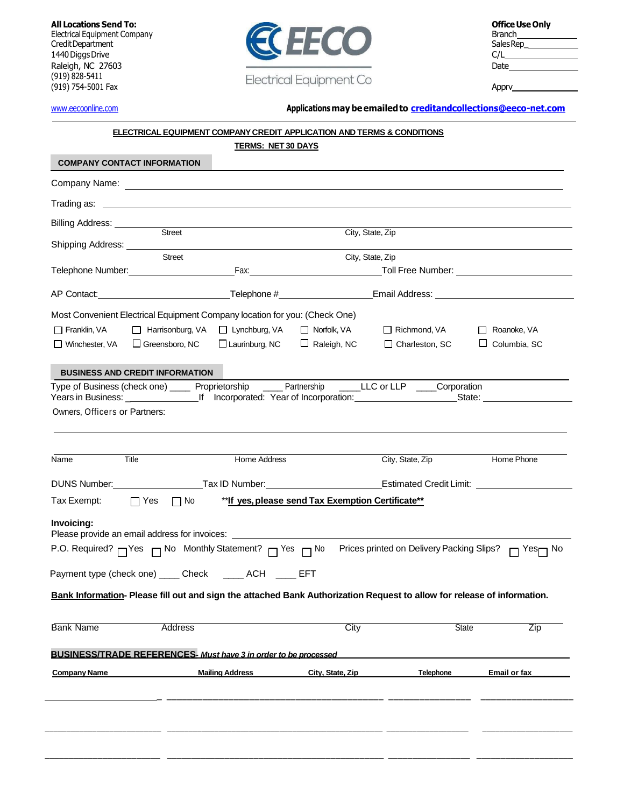(919) 828-5411 (919) 754-5001 Fax Apprv



## [www.eecoonline.com](http://www.eecoonline.com/) **Applicationsmay be emailedto [creditandcollections@eeco-net.com](mailto:creditandcollections@eeco-net.com)**

# **ELECTRICALEQUIPMENT COMPANYCREDIT APPLICATION AND TERMS & CONDITIONS**

| <b>COMPANY CONTACT INFORMATION</b>                                         |                                    | <b>TERMS: NET 30 DAYS</b> |                                                   |                                                                                                                                         |                                                                                                                                         |
|----------------------------------------------------------------------------|------------------------------------|---------------------------|---------------------------------------------------|-----------------------------------------------------------------------------------------------------------------------------------------|-----------------------------------------------------------------------------------------------------------------------------------------|
|                                                                            |                                    |                           |                                                   |                                                                                                                                         |                                                                                                                                         |
|                                                                            |                                    |                           |                                                   |                                                                                                                                         |                                                                                                                                         |
| Billing Address: ___________                                               | Street                             |                           |                                                   |                                                                                                                                         |                                                                                                                                         |
|                                                                            |                                    |                           | City, State, Zip                                  |                                                                                                                                         |                                                                                                                                         |
|                                                                            | Street                             |                           | City, State, Zip                                  |                                                                                                                                         |                                                                                                                                         |
|                                                                            |                                    |                           |                                                   |                                                                                                                                         |                                                                                                                                         |
|                                                                            |                                    |                           |                                                   |                                                                                                                                         |                                                                                                                                         |
| Most Convenient Electrical Equipment Company location for you: (Check One) |                                    |                           |                                                   |                                                                                                                                         |                                                                                                                                         |
| $\Box$ Franklin, VA                                                        | □ Harrisonburg, VA □ Lynchburg, VA |                           | □ Norfolk, VA                                     | Richmond, VA                                                                                                                            | Roanoke, VA                                                                                                                             |
| $\Box$ Winchester, VA $\Box$ Greensboro, NC                                |                                    | $\Box$ Laurinburg, NC     | $\Box$ Raleigh, NC                                | □ Charleston, SC                                                                                                                        | $\Box$ Columbia, SC                                                                                                                     |
| <b>BUSINESS AND CREDIT INFORMATION</b>                                     |                                    |                           |                                                   |                                                                                                                                         |                                                                                                                                         |
|                                                                            |                                    |                           |                                                   | Type of Business (check one) _____ Proprietorship _____ Partnership _____LLC or LLP ____Corporation                                     |                                                                                                                                         |
|                                                                            |                                    |                           |                                                   | Years in Business: ____________________If Incorporated: Year of Incorporation: _____________________State: ____________________________ |                                                                                                                                         |
| Owners, Officers or Partners:                                              |                                    |                           |                                                   |                                                                                                                                         |                                                                                                                                         |
|                                                                            |                                    |                           |                                                   |                                                                                                                                         |                                                                                                                                         |
| Title<br>Name                                                              |                                    | Home Address              |                                                   | City, State, Zip                                                                                                                        | Home Phone                                                                                                                              |
|                                                                            |                                    |                           |                                                   |                                                                                                                                         | DUNS Number: _____________________Tax ID Number: _______________________________Estimated Credit Limit: _______________________________ |
| Tax Exempt:                                                                | □ Yes □ No                         |                           | **If yes, please send Tax Exemption Certificate** |                                                                                                                                         |                                                                                                                                         |
| Invoicing:                                                                 |                                    |                           |                                                   | Please provide an email address for invoices: ___________________________________                                                       |                                                                                                                                         |
|                                                                            |                                    |                           |                                                   | P.O. Required? <sub>□</sub> Yes □ No Monthly Statement? □ Yes □ No Prices printed on Delivery Packing Slips?                            | $\Box$ Yes $\Box$ No                                                                                                                    |
| Payment type (check one) _____ Check _____ ACH _____ EFT                   |                                    |                           |                                                   |                                                                                                                                         |                                                                                                                                         |
|                                                                            |                                    |                           |                                                   | Bank Information- Please fill out and sign the attached Bank Authorization Request to allow for release of information.                 |                                                                                                                                         |
|                                                                            |                                    |                           |                                                   |                                                                                                                                         |                                                                                                                                         |
| <b>Bank Name</b>                                                           | <b>Address</b>                     |                           | City                                              | <b>State</b>                                                                                                                            | Zip                                                                                                                                     |
| BUSINESS/TRADE REFERENCES- Must have 3 in order to be processed            |                                    |                           |                                                   |                                                                                                                                         |                                                                                                                                         |
| <b>Company Name</b>                                                        |                                    | <b>Mailing Address</b>    | City, State, Zip                                  | <b>Telephone</b>                                                                                                                        | Email or fax                                                                                                                            |
|                                                                            |                                    |                           |                                                   |                                                                                                                                         |                                                                                                                                         |
|                                                                            |                                    |                           |                                                   |                                                                                                                                         |                                                                                                                                         |
|                                                                            |                                    |                           |                                                   |                                                                                                                                         |                                                                                                                                         |
|                                                                            |                                    |                           |                                                   |                                                                                                                                         |                                                                                                                                         |

\_\_\_\_\_\_\_\_\_\_\_\_\_\_\_\_\_\_\_\_\_\_\_\_ \_\_\_\_\_\_\_\_\_\_\_\_\_\_\_\_\_\_\_\_\_\_\_\_\_\_\_\_\_\_\_\_\_\_\_\_\_\_\_\_\_\_\_\_\_ \_\_\_\_\_\_\_\_\_\_\_\_\_\_\_\_\_ \_\_\_\_\_\_\_\_\_\_\_\_\_\_\_\_\_\_\_\_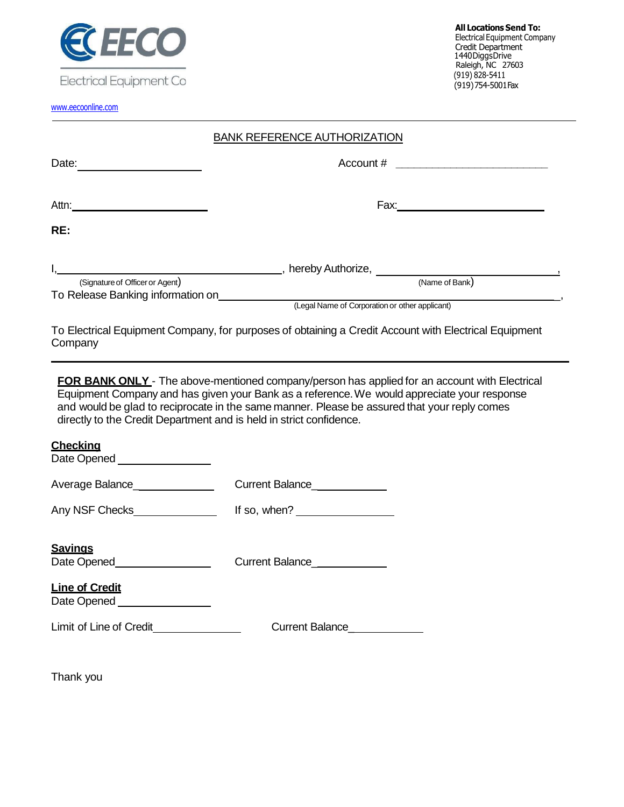

EIGOLI ICUI EQUIPITICI IL COMPUTATO DI REGIONE IL COMPUTATO DI PROVIDENZI IL COMPUTATO DI PROVIDENZI DI PROVID

[www.eecoonline.com](http://www.eecoonline.com/)

| <b>BANK REFERENCE AUTHORIZATION</b> |  |
|-------------------------------------|--|
|                                     |  |

| Date:                             | Account #                                                                                             |  |
|-----------------------------------|-------------------------------------------------------------------------------------------------------|--|
| Attn:                             | Fax:                                                                                                  |  |
| RE:                               |                                                                                                       |  |
| (Signature of Officer or Agent)   | __, hereby Authorize,<br>(Name of Bank)                                                               |  |
| To Release Banking information on | (Legal Name of Corporation or other applicant)                                                        |  |
| Company                           | To Electrical Equipment Company, for purposes of obtaining a Credit Account with Electrical Equipment |  |

**FOR BANK ONLY** - The above-mentioned company/person has applied for an account with Electrical Equipment Company and has given your Bank as a reference.We would appreciate your response and would be glad to reciprocate in the same manner. Please be assured that your reply comes directly to the Credit Department and is held in strict confidence.

# **Checking**

| Date Opened ________________                                                                            |                                                                                                                                                                                                                                                                                                                    |
|---------------------------------------------------------------------------------------------------------|--------------------------------------------------------------------------------------------------------------------------------------------------------------------------------------------------------------------------------------------------------------------------------------------------------------------|
| Average Balance_______________                                                                          | Current Balance_______________                                                                                                                                                                                                                                                                                     |
| Any NSF Checks_______________                                                                           | If so, when? $\frac{1}{2}$ $\frac{1}{2}$ $\frac{1}{2}$ $\frac{1}{2}$ $\frac{1}{2}$ $\frac{1}{2}$ $\frac{1}{2}$ $\frac{1}{2}$ $\frac{1}{2}$ $\frac{1}{2}$ $\frac{1}{2}$ $\frac{1}{2}$ $\frac{1}{2}$ $\frac{1}{2}$ $\frac{1}{2}$ $\frac{1}{2}$ $\frac{1}{2}$ $\frac{1}{2}$ $\frac{1}{2}$ $\frac{1}{2}$ $\frac{1}{2}$ |
| <b>Savings</b><br>Date Opened <b>National</b><br><b>Line of Credit</b><br>Date Opened _________________ | Current Balance_____________                                                                                                                                                                                                                                                                                       |
|                                                                                                         | Current Balance                                                                                                                                                                                                                                                                                                    |

Thank you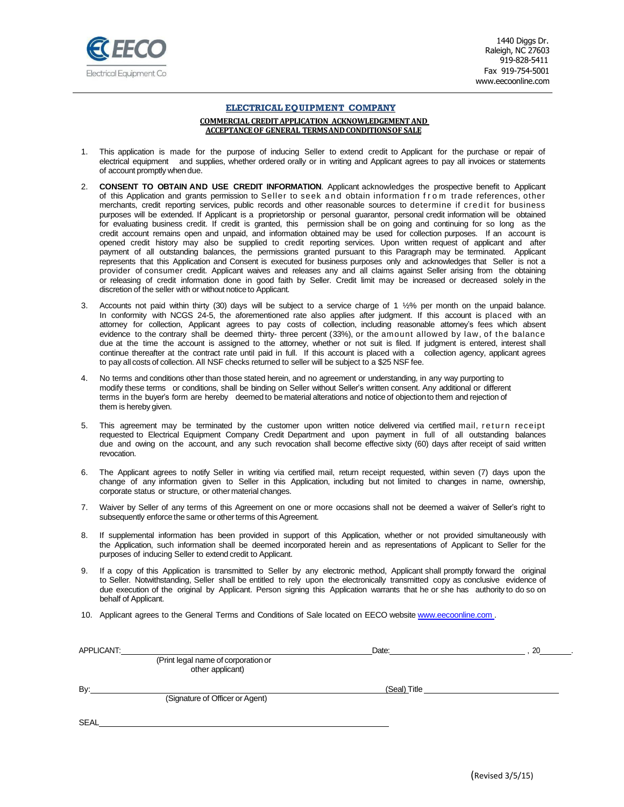

1440 Diggs Dr. Raleigh, NC 27603 919-828-5411 Fax 919-754-5001 [www.eecoonline.com](http://www.eecoonline.com/)

#### **ELECTRICAL EQUIPMENT COMPANY**

#### **COMMERCIAL CREDITAPPLICATION ACKNOWLEDGEMENTAND ACCEPTANCEOF GENERAL TERMSANDCONDITIONSOF SALE**

- 1. This application is made for the purpose of inducing Seller to extend credit to Applicant for the purchase or repair of electrical equipment and supplies, whether ordered orally or in writing and Applicant agrees to pay all invoices or statements of account promptly when due.
- 2. **CONSENT TO OBTAIN AND USE CREDIT INFORMATION**. Applicant acknowledges the prospective benefit to Applicant of this Application and grants permission to Seller to seek and obtain information f r o m trade references, other merchants, credit reporting services, public records and other reasonable sources to determine if credit for business purposes will be extended. If Applicant is a proprietorship or personal guarantor, personal credit information will be obtained for evaluating business credit. If credit is granted, this permission shall be on going and continuing for so long as the credit account remains open and unpaid, and information obtained may be used for collection purposes. If an account is opened credit history may also be supplied to credit reporting services. Upon written request of applicant and after payment of all outstanding balances, the permissions granted pursuant to this Paragraph may be terminated. Applicant represents that this Application and Consent is executed for business purposes only and acknowledges that Seller is not a provider of consumer credit. Applicant waives and releases any and all claims against Seller arising from the obtaining or releasing of credit information done in good faith by Seller. Credit limit may be increased or decreased solely in the discretion of the seller with or without noticeto Applicant.
- 3. Accounts not paid within thirty (30) days will be subject to a service charge of 1 ½% per month on the unpaid balance. In conformity with NCGS 24-5, the aforementioned rate also applies after judgment. If this account is placed with an attorney for collection, Applicant agrees to pay costs of collection, including reasonable attorney's fees which absent evidence to the contrary shall be deemed thirty- three percent (33%), or the amount allowed by law, of the balance due at the time the account is assigned to the attorney, whether or not suit is filed. If judgment is entered, interest shall continue thereafter at the contract rate until paid in full. If this account is placed with a collection agency, applicant agrees to pay all costs of collection. All NSF checks returned to seller will be subject to a \$25 NSF fee.
- 4. No terms and conditions other than those stated herein, and no agreement or understanding, in any way purporting to modify these terms or conditions, shall be binding on Seller without Seller's written consent. Any additional or different terms in the buyer's form are hereby deemed to be material alterations and notice of objectionto them and rejection of them is hereby given.
- 5. This agreement may be terminated by the customer upon written notice delivered via certified mail, return receipt requested to Electrical Equipment Company Credit Department and upon payment in full of all outstanding balances due and owing on the account, and any such revocation shall become effective sixty (60) days after receipt of said written revocation.
- 6. The Applicant agrees to notify Seller in writing via certified mail, return receipt requested, within seven (7) days upon the change of any information given to Seller in this Application, including but not limited to changes in name, ownership, corporate status or structure, or other material changes.
- 7. Waiver by Seller of any terms of this Agreement on one or more occasions shall not be deemed a waiver of Seller's right to subsequently enforce the same or other terms of this Agreement.
- 8. If supplemental information has been provided in support of this Application, whether or not provided simultaneously with the Application, such information shall be deemed incorporated herein and as representations of Applicant to Seller for the purposes of inducing Seller to extend credit to Applicant.
- 9. If a copy of this Application is transmitted to Seller by any electronic method, Applicant shall promptly forward the original to Seller. Notwithstanding, Seller shall be entitled to rely upon the electronically transmitted copy as conclusive evidence of due execution of the original by Applicant. Person signing this Application warrants that he or she has authority to do so on behalf of Applicant.
- 10. Applicant agrees to the General Terms and Conditions of Sale located on EECO website [www.eecoonline.com .](http://www.eecoonline.com/)

| APPLICANT:  |                                                         | Date:        | 20 |
|-------------|---------------------------------------------------------|--------------|----|
|             | (Print legal name of corporation or<br>other applicant) |              |    |
| By:         | (Signature of Officer or Agent)                         | (Seal) Title |    |
|             |                                                         |              |    |
| <b>SEAL</b> |                                                         |              |    |